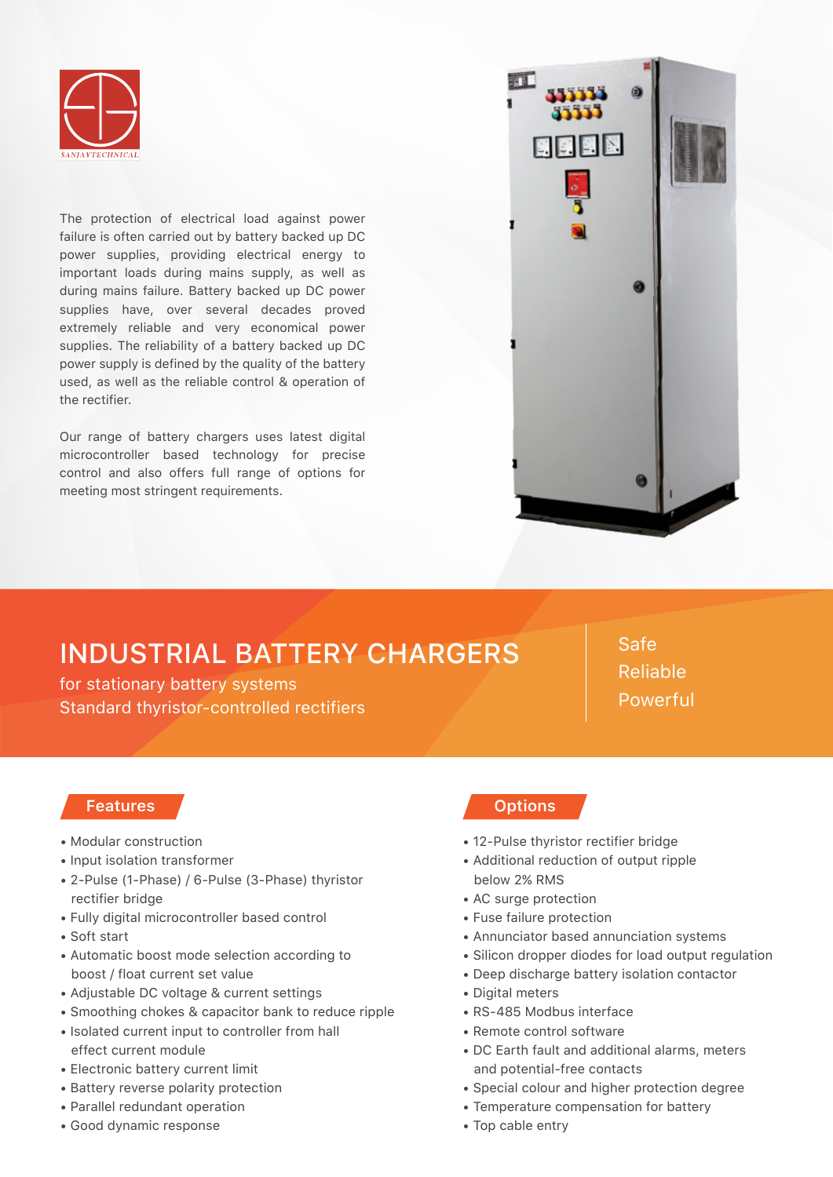

The protection of electrical load against power failure is often carried out by battery backed up DC power supplies, providing electrical energy to important loads during mains supply, as well as during mains failure. Battery backed up DC power supplies have, over several decades proved extremely reliable and very economical power supplies. The reliability of a battery backed up DC power supply is defined by the quality of the battery used, as well as the reliable control & operation of the rectifier.

Our range of battery chargers uses latest digital microcontroller based technology for precise control and also offers full range of options for meeting most stringent requirements.



## INDUSTRIAL BATTERY CHARGERS

for stationary battery systems Standard thyristor-controlled rectifiers

Safe Reliable Powerful

## **Features**

- Modular construction
- Input isolation transformer
- 2-Pulse (1-Phase) / 6-Pulse (3-Phase) thyristor rectifier bridge
- Fully digital microcontroller based control
- Soft start
- Automatic boost mode selection according to boost / float current set value
- Adjustable DC voltage & current settings
- Smoothing chokes & capacitor bank to reduce ripple
- Isolated current input to controller from hall effect current module
- Electronic battery current limit
- Battery reverse polarity protection
- Parallel redundant operation
- Good dynamic response

## **Options**

- 12-Pulse thyristor rectifier bridge
- Additional reduction of output ripple below 2% RMS
- AC surge protection
- Fuse failure protection
- Annunciator based annunciation systems
- Silicon dropper diodes for load output regulation
- Deep discharge battery isolation contactor
- Digital meters
- RS-485 Modbus interface
- Remote control software
- DC Earth fault and additional alarms, meters and potential-free contacts
- Special colour and higher protection degree
- Temperature compensation for battery
- Top cable entry